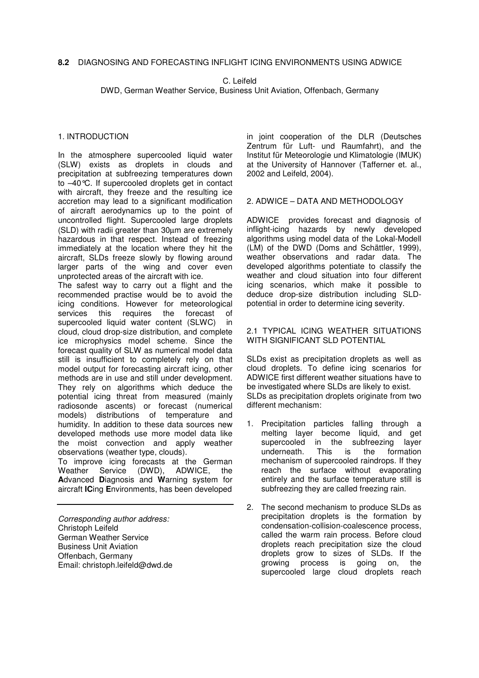C. Leifeld

DWD, German Weather Service, Business Unit Aviation, Offenbach, Germany

### 1. INTRODUCTION

In the atmosphere supercooled liquid water (SLW) exists as droplets in clouds and precipitation at subfreezing temperatures down to –40°C. If supercooled droplets get in contact with aircraft, they freeze and the resulting ice accretion may lead to a significant modification of aircraft aerodynamics up to the point of uncontrolled flight. Supercooled large droplets (SLD) with radii greater than 30µm are extremely hazardous in that respect. Instead of freezing immediately at the location where they hit the aircraft, SLDs freeze slowly by flowing around larger parts of the wing and cover even unprotected areas of the aircraft with ice.

The safest way to carry out a flight and the recommended practise would be to avoid the icing conditions. However for meteorological services this requires the forecast of supercooled liquid water content (SLWC) in cloud, cloud drop-size distribution, and complete ice microphysics model scheme. Since the forecast quality of SLW as numerical model data still is insufficient to completely rely on that model output for forecasting aircraft icing, other methods are in use and still under development. They rely on algorithms which deduce the potential icing threat from measured (mainly radiosonde ascents) or forecast (numerical models) distributions of temperature and humidity. In addition to these data sources new developed methods use more model data like the moist convection and apply weather observations (weather type, clouds).

To improve icing forecasts at the German Weather Service (DWD), ADWICE, the **A**dvanced **D**iagnosis and **W**arning system for aircraft **IC**ing **E**nvironments, has been developed

*Corresponding author address:* Christoph Leifeld German Weather Service Business Unit Aviation Offenbach, Germany Email: christoph.leifeld@dwd.de in joint cooperation of the DLR (Deutsches Zentrum für Luft- und Raumfahrt), and the Institut für Meteorologie und Klimatologie (IMUK) at the University of Hannover (Tafferner et. al., 2002 and Leifeld, 2004).

#### 2. ADWICE – DATA AND METHODOLOGY

ADWICE provides forecast and diagnosis of inflight-icing hazards by newly developed algorithms using model data of the Lokal-Modell (LM) of the DWD (Doms and Schättler, 1999), weather observations and radar data. The developed algorithms potentiate to classify the weather and cloud situation into four different icing scenarios, which make it possible to deduce drop-size distribution including SLDpotential in order to determine icing severity.

### 2.1 TYPICAL ICING WEATHER SITUATIONS WITH SIGNIFICANT SLD POTENTIAL

SLDs exist as precipitation droplets as well as cloud droplets. To define icing scenarios for ADWICE first different weather situations have to be investigated where SLDs are likely to exist. SLDs as precipitation droplets originate from two different mechanism:

- 1. Precipitation particles falling through a melting layer become liquid, and get supercooled in the subfreezing layer underneath. This is the formation mechanism of supercooled raindrops. If they reach the surface without evaporating entirely and the surface temperature still is subfreezing they are called freezing rain.
- 2. The second mechanism to produce SLDs as precipitation droplets is the formation by condensation-collision-coalescence process, called the warm rain process. Before cloud droplets reach precipitation size the cloud droplets grow to sizes of SLDs. If the growing process is going on, the supercooled large cloud droplets reach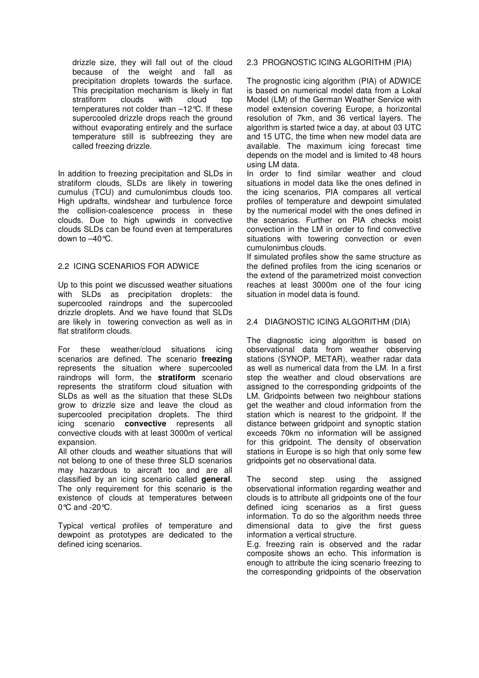drizzle size, they will fall out of the cloud because of the weight and fall as precipitation droplets towards the surface. This precipitation mechanism is likely in flat stratiform clouds with cloud top temperatures not colder than –12°C. If these supercooled drizzle drops reach the ground without evaporating entirely and the surface temperature still is subfreezing they are called freezing drizzle.

In addition to freezing precipitation and SLDs in stratiform clouds, SLDs are likely in towering cumulus (TCU) and cumulonimbus clouds too. High updrafts, windshear and turbulence force the collision-coalescence process in these clouds. Due to high upwinds in convective clouds SLDs can be found even at temperatures down to –40°C.

## 2.2 ICING SCENARIOS FOR ADWICE

Up to this point we discussed weather situations with SLDs as precipitation droplets: the supercooled raindrops and the supercooled drizzle droplets. And we have found that SLDs are likely in towering convection as well as in flat stratiform clouds.

For these weather/cloud situations icing scenarios are defined. The scenario **freezing** represents the situation where supercooled raindrops will form, the **stratiform** scenario represents the stratiform cloud situation with SLDs as well as the situation that these SLDs grow to drizzle size and leave the cloud as supercooled precipitation droplets. The third icing scenario **convective** represents all convective clouds with at least 3000m of vertical expansion.

All other clouds and weather situations that will not belong to one of these three SLD scenarios may hazardous to aircraft too and are all classified by an icing scenario called **general**. The only requirement for this scenario is the existence of clouds at temperatures between 0℃ and -20℃.

Typical vertical profiles of temperature and dewpoint as prototypes are dedicated to the defined icing scenarios.

## 2.3 PROGNOSTIC ICING ALGORITHM (PIA)

The prognostic icing algorithm (PIA) of ADWICE is based on numerical model data from a Lokal Model (LM) of the German Weather Service with model extension covering Europe, a horizontal resolution of 7km, and 36 vertical layers. The algorithm is started twice a day, at about 03 UTC and 15 UTC, the time when new model data are available. The maximum icing forecast time depends on the model and is limited to 48 hours using LM data.

In order to find similar weather and cloud situations in model data like the ones defined in the icing scenarios, PIA compares all vertical profiles of temperature and dewpoint simulated by the numerical model with the ones defined in the scenarios. Further on PIA checks moist convection in the LM in order to find convective situations with towering convection or even cumulonimbus clouds.

If simulated profiles show the same structure as the defined profiles from the icing scenarios or the extend of the parametrized moist convection reaches at least 3000m one of the four icing situation in model data is found.

# 2.4 DIAGNOSTIC ICING ALGORITHM (DIA)

The diagnostic icing algorithm is based on observational data from weather observing stations (SYNOP, METAR), weather radar data as well as numerical data from the LM. In a first step the weather and cloud observations are assigned to the corresponding gridpoints of the LM. Gridpoints between two neighbour stations get the weather and cloud information from the station which is nearest to the gridpoint. If the distance between gridpoint and synoptic station exceeds 70km no information will be assigned for this gridpoint. The density of observation stations in Europe is so high that only some few gridpoints get no observational data.

The second step using the assigned observational information regarding weather and clouds is to attribute all gridpoints one of the four defined icing scenarios as a first guess information. To do so the algorithm needs three dimensional data to give the first guess information a vertical structure.

E.g. freezing rain is observed and the radar composite shows an echo. This information is enough to attribute the icing scenario freezing to the corresponding gridpoints of the observation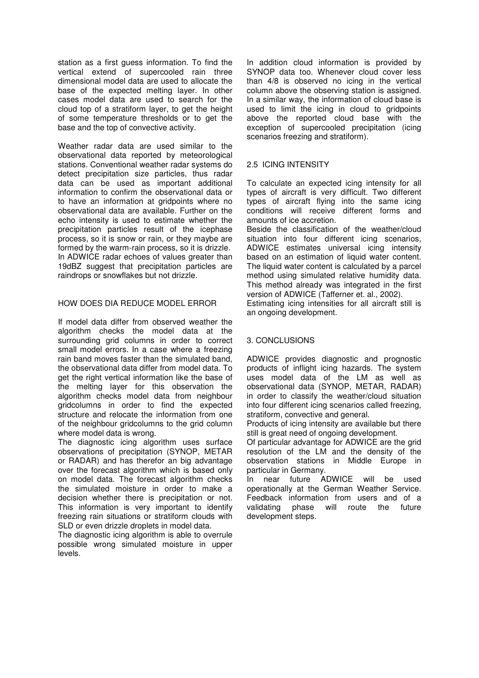station as a first guess information. To find the vertical extend of supercooled rain three dimensional model data are used to allocate the base of the expected melting layer. In other cases model data are used to search for the cloud top of a stratiform layer, to get the height of some temperature thresholds or to get the base and the top of convective activity.

Weather radar data are used similar to the observational data reported by meteorological stations. Conventional weather radar systems do detect precipitation size particles, thus radar data can be used as important additional information to confirm the observational data or to have an information at gridpoints where no observational data are available. Further on the echo intensity is used to estimate whether the precipitation particles result of the icephase process, so it is snow or rain, or they maybe are formed by the warm-rain process, so it is drizzle. In ADWICE radar echoes of values greater than 19dBZ suggest that precipitation particles are raindrops or snowflakes but not drizzle.

# HOW DOES DIA REDUCE MODEL ERROR

If model data differ from observed weather the algorithm checks the model data at the surrounding grid columns in order to correct small model errors. In a case where a freezing rain band moves faster than the simulated band, the observational data differ from model data. To get the right vertical information like the base of the melting layer for this observation the algorithm checks model data from neighbour gridcolumns in order to find the expected structure and relocate the information from one of the neighbour gridcolumns to the grid column where model data is wrong.

The diagnostic icing algorithm uses surface observations of precipitation (SYNOP, METAR or RADAR) and has therefor an big advantage over the forecast algorithm which is based only on model data. The forecast algorithm checks the simulated moisture in order to make a decision whether there is precipitation or not. This information is very important to identify freezing rain situations or stratiform clouds with SLD or even drizzle droplets in model data.

The diagnostic icing algorithm is able to overrule possible wrong simulated moisture in upper levels.

In addition cloud information is provided by SYNOP data too. Whenever cloud cover less than 4/8 is observed no icing in the vertical column above the observing station is assigned. In a similar way, the information of cloud base is used to limit the icing in cloud to gridpoints above the reported cloud base with the exception of supercooled precipitation (icing scenarios freezing and stratiform).

## 2.5 ICING INTENSITY

To calculate an expected icing intensity for all types of aircraft is very difficult. Two different types of aircraft flying into the same icing conditions will receive different forms and amounts of ice accretion.

Beside the classification of the weather/cloud situation into four different icing scenarios, ADWICE estimates universal icing intensity based on an estimation of liquid water content. The liquid water content is calculated by a parcel method using simulated relative humidity data. This method already was integrated in the first version of ADWICE (Tafferner et. al., 2002).

Estimating icing intensities for all aircraft still is an ongoing development.

### 3. CONCLUSIONS

ADWICE provides diagnostic and prognostic products of inflight icing hazards. The system uses model data of the LM as well as observational data (SYNOP, METAR, RADAR) in order to classify the weather/cloud situation into four different icing scenarios called freezing, stratiform, convective and general.

Products of icing intensity are available but there still is great need of ongoing development.

Of particular advantage for ADWICE are the grid resolution of the LM and the density of the observation stations in Middle Europe in particular in Germany.

In near future ADWICE will be used operationally at the German Weather Service. Feedback information from users and of a validating phase will route the future development steps.